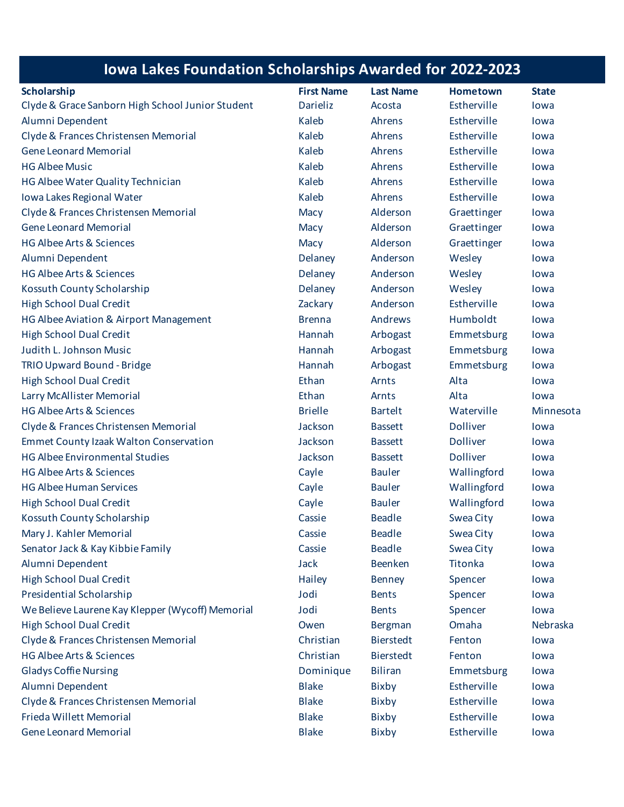## **Iowa Lakes Foundation Scholarships Awarded for 2022-2023**

| <b>Scholarship</b>                               | <b>First Name</b> | <b>Last Name</b> | <b>Hometown</b>  | <b>State</b> |
|--------------------------------------------------|-------------------|------------------|------------------|--------------|
| Clyde & Grace Sanborn High School Junior Student | <b>Darieliz</b>   | Acosta           | Estherville      | lowa         |
| Alumni Dependent                                 | Kaleb             | Ahrens           | Estherville      | lowa         |
| Clyde & Frances Christensen Memorial             | Kaleb             | Ahrens           | Estherville      | lowa         |
| <b>Gene Leonard Memorial</b>                     | Kaleb             | Ahrens           | Estherville      | lowa         |
| <b>HG Albee Music</b>                            | Kaleb             | Ahrens           | Estherville      | lowa         |
| HG Albee Water Quality Technician                | Kaleb             | Ahrens           | Estherville      | lowa         |
| Iowa Lakes Regional Water                        | Kaleb             | Ahrens           | Estherville      | lowa         |
| Clyde & Frances Christensen Memorial             | Macy              | Alderson         | Graettinger      | lowa         |
| <b>Gene Leonard Memorial</b>                     | Macy              | Alderson         | Graettinger      | lowa         |
| <b>HG Albee Arts &amp; Sciences</b>              | Macy              | Alderson         | Graettinger      | lowa         |
| Alumni Dependent                                 | Delaney           | Anderson         | Wesley           | lowa         |
| <b>HG Albee Arts &amp; Sciences</b>              | Delaney           | Anderson         | Wesley           | lowa         |
| Kossuth County Scholarship                       | Delaney           | Anderson         | Wesley           | lowa         |
| <b>High School Dual Credit</b>                   | Zackary           | Anderson         | Estherville      | lowa         |
| HG Albee Aviation & Airport Management           | <b>Brenna</b>     | Andrews          | Humboldt         | lowa         |
| <b>High School Dual Credit</b>                   | Hannah            | Arbogast         | Emmetsburg       | lowa         |
| Judith L. Johnson Music                          | Hannah            | Arbogast         | Emmetsburg       | lowa         |
| TRIO Upward Bound - Bridge                       | Hannah            | Arbogast         | Emmetsburg       | lowa         |
| <b>High School Dual Credit</b>                   | Ethan             | Arnts            | Alta             | lowa         |
| Larry McAllister Memorial                        | Ethan             | Arnts            | Alta             | lowa         |
| <b>HG Albee Arts &amp; Sciences</b>              | <b>Brielle</b>    | <b>Bartelt</b>   | Waterville       | Minnesota    |
| Clyde & Frances Christensen Memorial             | Jackson           | <b>Bassett</b>   | <b>Dolliver</b>  | lowa         |
| <b>Emmet County Izaak Walton Conservation</b>    | Jackson           | <b>Bassett</b>   | <b>Dolliver</b>  | lowa         |
| <b>HG Albee Environmental Studies</b>            | Jackson           | <b>Bassett</b>   | <b>Dolliver</b>  | lowa         |
| <b>HG Albee Arts &amp; Sciences</b>              | Cayle             | <b>Bauler</b>    | Wallingford      | lowa         |
| <b>HG Albee Human Services</b>                   | Cayle             | <b>Bauler</b>    | Wallingford      | lowa         |
| <b>High School Dual Credit</b>                   | Cayle             | <b>Bauler</b>    | Wallingford      | lowa         |
| Kossuth County Scholarship                       | Cassie            | <b>Beadle</b>    | Swea City        | lowa         |
| Mary J. Kahler Memorial                          | Cassie            | <b>Beadle</b>    | <b>Swea City</b> | lowa         |
| Senator Jack & Kay Kibbie Family                 | Cassie            | <b>Beadle</b>    | Swea City        | lowa         |
| Alumni Dependent                                 | Jack              | <b>Beenken</b>   | <b>Titonka</b>   | lowa         |
| <b>High School Dual Credit</b>                   | Hailey            | <b>Benney</b>    | Spencer          | lowa         |
| <b>Presidential Scholarship</b>                  | Jodi              | <b>Bents</b>     | Spencer          | lowa         |
| We Believe Laurene Kay Klepper (Wycoff) Memorial | Jodi              | <b>Bents</b>     | Spencer          | lowa         |
| <b>High School Dual Credit</b>                   | Owen              | <b>Bergman</b>   | Omaha            | Nebraska     |
| Clyde & Frances Christensen Memorial             | Christian         | <b>Bierstedt</b> | Fenton           | lowa         |
| <b>HG Albee Arts &amp; Sciences</b>              | Christian         | <b>Bierstedt</b> | Fenton           | lowa         |
| <b>Gladys Coffie Nursing</b>                     | Dominique         | <b>Biliran</b>   | Emmetsburg       | lowa         |
| Alumni Dependent                                 | <b>Blake</b>      | <b>Bixby</b>     | Estherville      | lowa         |
| Clyde & Frances Christensen Memorial             | <b>Blake</b>      | <b>Bixby</b>     | Estherville      | lowa         |
| Frieda Willett Memorial                          | <b>Blake</b>      | <b>Bixby</b>     | Estherville      | lowa         |
| <b>Gene Leonard Memorial</b>                     | <b>Blake</b>      | <b>Bixby</b>     | Estherville      | lowa         |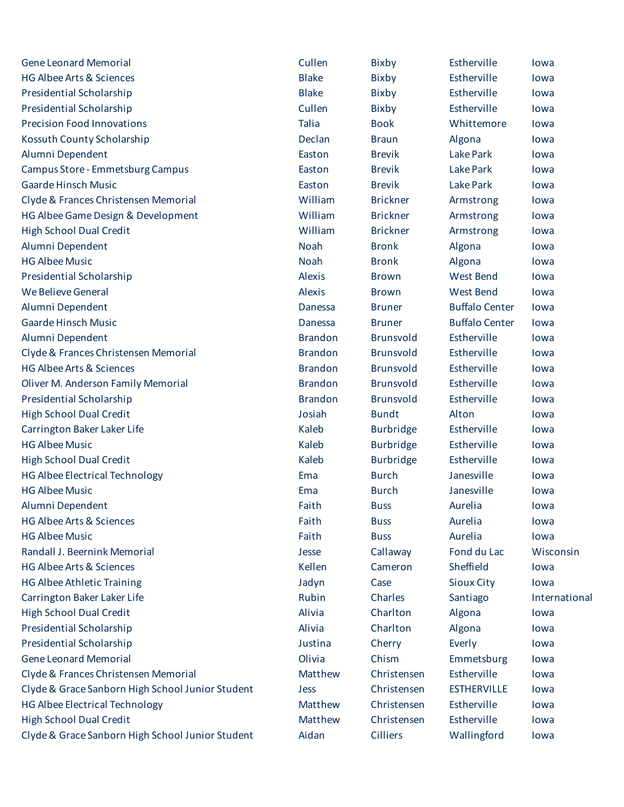| <b>Gene Leonard Memorial</b>                     | Cullen         | Bixby            | Estherville           | lowa          |
|--------------------------------------------------|----------------|------------------|-----------------------|---------------|
| HG Albee Arts & Sciences                         | <b>Blake</b>   | Bixby            | Estherville           | lowa          |
| Presidential Scholarship                         | <b>Blake</b>   | <b>Bixby</b>     | Estherville           | lowa          |
| Presidential Scholarship                         | Cullen         | Bixby            | Estherville           | lowa          |
| <b>Precision Food Innovations</b>                | <b>Talia</b>   | <b>Book</b>      | Whittemore            | lowa          |
| Kossuth County Scholarship                       | Declan         | <b>Braun</b>     | Algona                | lowa          |
| Alumni Dependent                                 | Easton         | <b>Brevik</b>    | <b>Lake Park</b>      | lowa          |
| Campus Store - Emmetsburg Campus                 | Easton         | <b>Brevik</b>    | <b>Lake Park</b>      | lowa          |
| <b>Gaarde Hinsch Music</b>                       | Easton         | <b>Brevik</b>    | Lake Park             | lowa          |
| Clyde & Frances Christensen Memorial             | William        | <b>Brickner</b>  | Armstrong             | lowa          |
| HG Albee Game Design & Development               | William        | <b>Brickner</b>  | Armstrong             | lowa          |
| <b>High School Dual Credit</b>                   | William        | <b>Brickner</b>  | Armstrong             | lowa          |
| Alumni Dependent                                 | <b>Noah</b>    | <b>Bronk</b>     | Algona                | lowa          |
| <b>HG Albee Music</b>                            | <b>Noah</b>    | <b>Bronk</b>     | Algona                | lowa          |
| Presidential Scholarship                         | <b>Alexis</b>  | <b>Brown</b>     | <b>West Bend</b>      | lowa          |
| We Believe General                               | <b>Alexis</b>  | <b>Brown</b>     | <b>West Bend</b>      | lowa          |
| Alumni Dependent                                 | Danessa        | <b>Bruner</b>    | <b>Buffalo Center</b> | lowa          |
| <b>Gaarde Hinsch Music</b>                       | Danessa        | <b>Bruner</b>    | <b>Buffalo Center</b> | lowa          |
| Alumni Dependent                                 | <b>Brandon</b> | <b>Brunsvold</b> | Estherville           | lowa          |
| Clyde & Frances Christensen Memorial             | <b>Brandon</b> | <b>Brunsvold</b> | Estherville           | lowa          |
| <b>HG Albee Arts &amp; Sciences</b>              | <b>Brandon</b> | <b>Brunsvold</b> | Estherville           | lowa          |
| Oliver M. Anderson Family Memorial               | <b>Brandon</b> | <b>Brunsvold</b> | Estherville           | lowa          |
| Presidential Scholarship                         | <b>Brandon</b> | <b>Brunsvold</b> | Estherville           | lowa          |
| <b>High School Dual Credit</b>                   | Josiah         | <b>Bundt</b>     | Alton                 | lowa          |
| Carrington Baker Laker Life                      | Kaleb          | <b>Burbridge</b> | Estherville           | lowa          |
| <b>HG Albee Music</b>                            | Kaleb          | <b>Burbridge</b> | Estherville           | lowa          |
| <b>High School Dual Credit</b>                   | Kaleb          | <b>Burbridge</b> | Estherville           | lowa          |
| <b>HG Albee Electrical Technology</b>            | Ema            | <b>Burch</b>     | Janesville            | lowa          |
| <b>HG Albee Music</b>                            | Ema            | <b>Burch</b>     | Janesville            | lowa          |
| Alumni Dependent                                 | Faith          | <b>Buss</b>      | Aurelia               | lowa          |
| HG Albee Arts & Sciences                         | Faith          | <b>Buss</b>      | Aurelia               | lowa          |
| <b>HG Albee Music</b>                            | Faith          | <b>Buss</b>      | Aurelia               | lowa          |
| Randall J. Beernink Memorial                     | Jesse          | Callaway         | Fond du Lac           | Wisconsin     |
| <b>HG Albee Arts &amp; Sciences</b>              | Kellen         | Cameron          | Sheffield             | lowa          |
| HG Albee Athletic Training                       | Jadyn          | Case             | <b>Sioux City</b>     | lowa          |
| Carrington Baker Laker Life                      | Rubin          | Charles          | Santiago              | International |
| <b>High School Dual Credit</b>                   | Alivia         | Charlton         | Algona                | lowa          |
| Presidential Scholarship                         | Alivia         | Charlton         | Algona                | lowa          |
| Presidential Scholarship                         | Justina        | Cherry           | Everly                | lowa          |
| <b>Gene Leonard Memorial</b>                     | Olivia         | Chism            | Emmetsburg            | lowa          |
| Clyde & Frances Christensen Memorial             | Matthew        | Christensen      | Estherville           | lowa          |
| Clyde & Grace Sanborn High School Junior Student | Jess           | Christensen      | <b>ESTHERVILLE</b>    | lowa          |
| <b>HG Albee Electrical Technology</b>            | Matthew        | Christensen      | Estherville           | lowa          |
| <b>High School Dual Credit</b>                   | Matthew        | Christensen      | Estherville           | lowa          |
| Clyde & Grace Sanborn High School Junior Student | Aidan          | <b>Cilliers</b>  | Wallingford           | lowa          |

| <b>Ilen</b>   | <b>Bixby</b>     | Estherville           | lowa           |
|---------------|------------------|-----------------------|----------------|
| ake           | <b>Bixby</b>     | Estherville           | lowa           |
| ake           | Bixby            | Estherville           | lowa           |
| <b>Ilen</b>   | Bixby            | Estherville           | lowa           |
| ia            | <b>Book</b>      | Whittemore            | lowa           |
| clan          | <b>Braun</b>     | Algona                | lowa           |
| ston          | <b>Brevik</b>    | <b>Lake Park</b>      | lowa           |
| ston          | <b>Brevik</b>    | Lake Park             | lowa           |
| ston          | <b>Brevik</b>    | <b>Lake Park</b>      | lowa           |
| <b>Illiam</b> | <b>Brickner</b>  | Armstrong             | lowa           |
| <b>Illiam</b> | <b>Brickner</b>  | Armstrong             | lowa           |
| <b>Illiam</b> | <b>Brickner</b>  | Armstrong             | lowa           |
| ıah           | <b>Bronk</b>     | Algona                | lowa           |
| ıah           | <b>Bronk</b>     | Algona                | lowa           |
| exis          | <b>Brown</b>     | <b>West Bend</b>      | lowa           |
| exis          | <b>Brown</b>     | <b>West Bend</b>      | lowa           |
| nessa         | <b>Bruner</b>    | <b>Buffalo Center</b> | lowa           |
| nessa         | <b>Bruner</b>    | <b>Buffalo Center</b> | lowa           |
| andon         | <b>Brunsvold</b> | Estherville           | lowa           |
| andon         | <b>Brunsvold</b> | Estherville           | lowa           |
| andon         | <b>Brunsvold</b> | Estherville           | lowa           |
| andon         | <b>Brunsvold</b> | Estherville           | lowa           |
| andon         | <b>Brunsvold</b> | Estherville           | lowa           |
| siah          | <b>Bundt</b>     | Alton                 | lowa           |
| leb           | <b>Burbridge</b> | Estherville           | lowa           |
| leb           | <b>Burbridge</b> | Estherville           | lowa           |
| leb           | <b>Burbridge</b> | Estherville           | lowa           |
| ١a            | <b>Burch</b>     | Janesville            | lowa           |
| ١a            | <b>Burch</b>     | Janesville            | lowa           |
| th            | <b>Buss</b>      | Aurelia               | lowa           |
| th            | <b>Buss</b>      | Aurelia               | lowa           |
| th            | <b>Buss</b>      | Aurelia               | lowa           |
| sse           | Callaway         | Fond du Lac           | <b>Wiscons</b> |
| llen          | Cameron          | Sheffield             | lowa           |
| dyn           | Case             | <b>Sioux City</b>     | lowa           |
| bin           | Charles          | Santiago              | Internat       |
| via           | Charlton         | Algona                | lowa           |
| via           | Charlton         | Algona                | lowa           |
| stina         | Cherry           | Everly                | lowa           |
| via           | Chism            | Emmetsburg            | lowa           |
| atthew        | Christensen      | Estherville           | lowa           |
| SS.           | Christensen      | <b>ESTHERVILLE</b>    | lowa           |
| atthew        | Christensen      | Estherville           | lowa           |
| atthew        | Christensen      | Estherville           | lowa           |
| dan           | <b>Cilliers</b>  | Wallingford           | lowa           |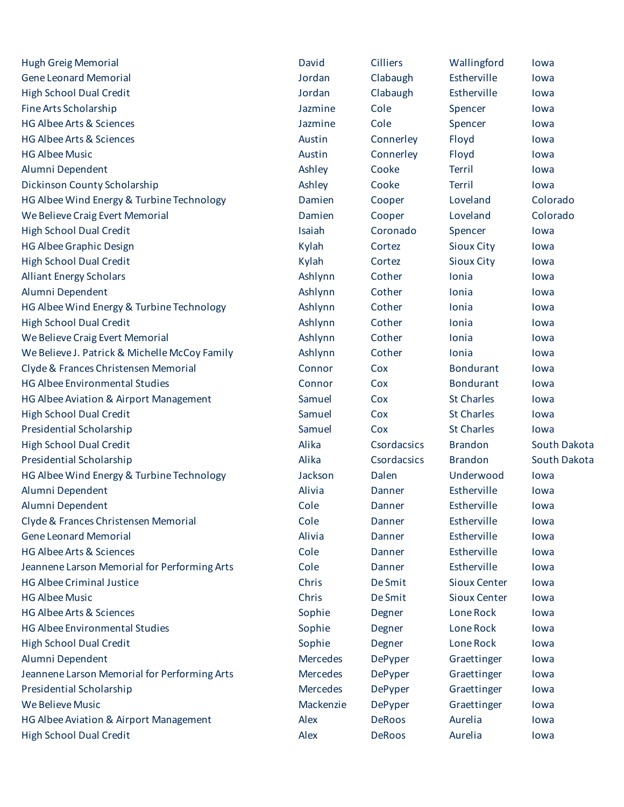| <b>Hugh Greig Memorial</b>                    | David           | <b>Cilliers</b> | Wallingford         | lowa         |
|-----------------------------------------------|-----------------|-----------------|---------------------|--------------|
| <b>Gene Leonard Memorial</b>                  | Jordan          | Clabaugh        | Estherville         | lowa         |
| <b>High School Dual Credit</b>                | Jordan          | Clabaugh        | Estherville         | lowa         |
| Fine Arts Scholarship                         | Jazmine         | Cole            | Spencer             | lowa         |
| <b>HG Albee Arts &amp; Sciences</b>           | Jazmine         | Cole            | Spencer             | lowa         |
| <b>HG Albee Arts &amp; Sciences</b>           | Austin          | Connerley       | Floyd               | lowa         |
| <b>HG Albee Music</b>                         | Austin          | Connerley       | Floyd               | lowa         |
| Alumni Dependent                              | Ashley          | Cooke           | Terril              | lowa         |
| Dickinson County Scholarship                  | Ashley          | Cooke           | <b>Terril</b>       | lowa         |
| HG Albee Wind Energy & Turbine Technology     | Damien          | Cooper          | Loveland            | Colorado     |
| We Believe Craig Evert Memorial               | Damien          | Cooper          | Loveland            | Colorado     |
| <b>High School Dual Credit</b>                | Isaiah          | Coronado        | Spencer             | lowa         |
| <b>HG Albee Graphic Design</b>                | Kylah           | Cortez          | <b>Sioux City</b>   | lowa         |
| <b>High School Dual Credit</b>                | Kylah           | Cortez          | <b>Sioux City</b>   | lowa         |
| <b>Alliant Energy Scholars</b>                | Ashlynn         | Cother          | Ionia               | lowa         |
| Alumni Dependent                              | Ashlynn         | Cother          | Ionia               | lowa         |
| HG Albee Wind Energy & Turbine Technology     | Ashlynn         | Cother          | Ionia               | lowa         |
| <b>High School Dual Credit</b>                | Ashlynn         | Cother          | Ionia               | lowa         |
| We Believe Craig Evert Memorial               | Ashlynn         | Cother          | Ionia               | lowa         |
| We Believe J. Patrick & Michelle McCoy Family | Ashlynn         | Cother          | Ionia               | lowa         |
| Clyde & Frances Christensen Memorial          | Connor          | Cox             | <b>Bondurant</b>    | lowa         |
| <b>HG Albee Environmental Studies</b>         | Connor          | Cox             | <b>Bondurant</b>    | lowa         |
| HG Albee Aviation & Airport Management        | Samuel          | Cox             | <b>St Charles</b>   | lowa         |
| <b>High School Dual Credit</b>                | Samuel          | Cox             | <b>St Charles</b>   | lowa         |
| Presidential Scholarship                      | Samuel          | Cox             | <b>St Charles</b>   | lowa         |
| <b>High School Dual Credit</b>                | Alika           | Csordacsics     | <b>Brandon</b>      | South Dakota |
| Presidential Scholarship                      | Alika           | Csordacsics     | <b>Brandon</b>      | South Dakota |
| HG Albee Wind Energy & Turbine Technology     | Jackson         | Dalen           | Underwood           | lowa         |
| Alumni Dependent                              | Alivia          | Danner          | Estherville         | lowa         |
| Alumni Dependent                              | Cole            | Danner          | Estherville         | lowa         |
| Clyde & Frances Christensen Memorial          | Cole            | Danner          | Estherville         | lowa         |
| <b>Gene Leonard Memorial</b>                  | Alivia          | Danner          | Estherville         | lowa         |
| <b>HG Albee Arts &amp; Sciences</b>           | Cole            | Danner          | Estherville         | lowa         |
| Jeannene Larson Memorial for Performing Arts  | Cole            | Danner          | Estherville         | lowa         |
| <b>HG Albee Criminal Justice</b>              | Chris           | <b>De Smit</b>  | <b>Sioux Center</b> | lowa         |
| <b>HG Albee Music</b>                         | Chris           | <b>De Smit</b>  | <b>Sioux Center</b> | lowa         |
| <b>HG Albee Arts &amp; Sciences</b>           | Sophie          | Degner          | Lone Rock           | lowa         |
| <b>HG Albee Environmental Studies</b>         | Sophie          | Degner          | Lone Rock           | lowa         |
| <b>High School Dual Credit</b>                | Sophie          | Degner          | Lone Rock           | lowa         |
| Alumni Dependent                              | <b>Mercedes</b> | <b>DePyper</b>  | Graettinger         | lowa         |
| Jeannene Larson Memorial for Performing Arts  | <b>Mercedes</b> | <b>DePyper</b>  | Graettinger         | lowa         |
| Presidential Scholarship                      | Mercedes        | <b>DePyper</b>  | Graettinger         | lowa         |
| We Believe Music                              | Mackenzie       | <b>DePyper</b>  | Graettinger         | lowa         |
| HG Albee Aviation & Airport Management        | Alex            | <b>DeRoos</b>   | Aurelia             | lowa         |
| <b>High School Dual Credit</b>                | Alex            | DeRoos          | Aurelia             | lowa         |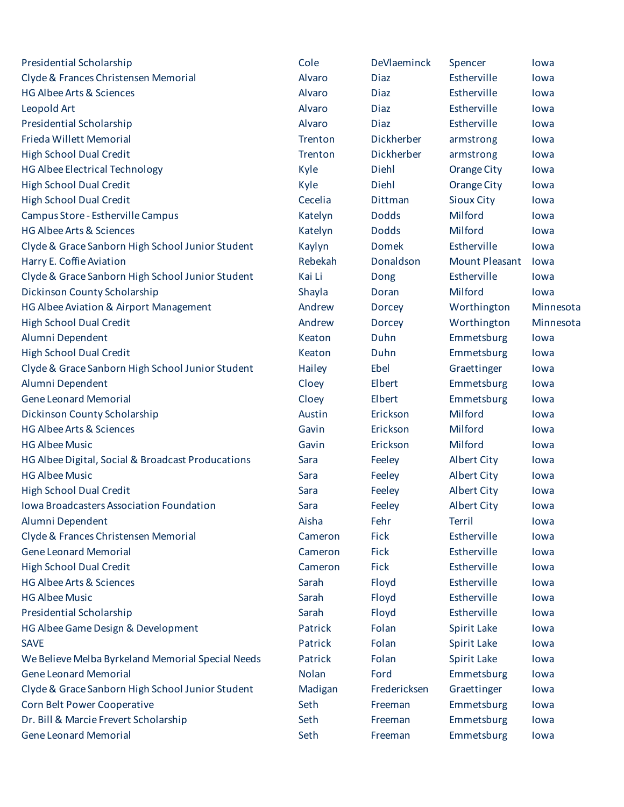| Presidential Scholarship                          | Cole    | DeVlaeminck   | Spencer               | lowa      |
|---------------------------------------------------|---------|---------------|-----------------------|-----------|
| Clyde & Frances Christensen Memorial              | Alvaro  | <b>Diaz</b>   | Estherville           | lowa      |
| <b>HG Albee Arts &amp; Sciences</b>               | Alvaro  | <b>Diaz</b>   | Estherville           | lowa      |
| Leopold Art                                       | Alvaro  | <b>Diaz</b>   | Estherville           | lowa      |
| Presidential Scholarship                          | Alvaro  | <b>Diaz</b>   | Estherville           | lowa      |
| Frieda Willett Memorial                           | Trenton | Dickherber    | armstrong             | lowa      |
| <b>High School Dual Credit</b>                    | Trenton | Dickherber    | armstrong             | lowa      |
| <b>HG Albee Electrical Technology</b>             | Kyle    | Diehl         | Orange City           | lowa      |
| <b>High School Dual Credit</b>                    | Kyle    | Diehl         | <b>Orange City</b>    | lowa      |
| <b>High School Dual Credit</b>                    | Cecelia | Dittman       | <b>Sioux City</b>     | lowa      |
| Campus Store - Estherville Campus                 | Katelyn | <b>Dodds</b>  | Milford               | lowa      |
| <b>HG Albee Arts &amp; Sciences</b>               | Katelyn | <b>Dodds</b>  | Milford               | lowa      |
| Clyde & Grace Sanborn High School Junior Student  | Kaylyn  | <b>Domek</b>  | Estherville           | lowa      |
| Harry E. Coffie Aviation                          | Rebekah | Donaldson     | <b>Mount Pleasant</b> | lowa      |
| Clyde & Grace Sanborn High School Junior Student  | Kai Li  | Dong          | Estherville           | lowa      |
| Dickinson County Scholarship                      | Shayla  | Doran         | Milford               | lowa      |
| HG Albee Aviation & Airport Management            | Andrew  | <b>Dorcey</b> | Worthington           | Minnesota |
| <b>High School Dual Credit</b>                    | Andrew  | <b>Dorcey</b> | Worthington           | Minnesota |
| Alumni Dependent                                  | Keaton  | Duhn          | Emmetsburg            | lowa      |
| <b>High School Dual Credit</b>                    | Keaton  | Duhn          | Emmetsburg            | lowa      |
| Clyde & Grace Sanborn High School Junior Student  | Hailey  | Ebel          | Graettinger           | lowa      |
| Alumni Dependent                                  | Cloey   | Elbert        | Emmetsburg            | lowa      |
| <b>Gene Leonard Memorial</b>                      | Cloey   | Elbert        | Emmetsburg            | lowa      |
| Dickinson County Scholarship                      | Austin  | Erickson      | Milford               | lowa      |
| <b>HG Albee Arts &amp; Sciences</b>               | Gavin   | Erickson      | Milford               | lowa      |
| <b>HG Albee Music</b>                             | Gavin   | Erickson      | Milford               | lowa      |
| HG Albee Digital, Social & Broadcast Producations | Sara    | Feeley        | <b>Albert City</b>    | lowa      |
| <b>HG Albee Music</b>                             | Sara    | Feeley        | <b>Albert City</b>    | lowa      |
| <b>High School Dual Credit</b>                    | Sara    | Feeley        | <b>Albert City</b>    | lowa      |
| <b>Iowa Broadcasters Association Foundation</b>   | Sara    | Feeley        | <b>Albert City</b>    | lowa      |
| Alumni Dependent                                  | Aisha   | Fehr          | <b>Terril</b>         | lowa      |
| Clyde & Frances Christensen Memorial              | Cameron | <b>Fick</b>   | Estherville           | lowa      |
| <b>Gene Leonard Memorial</b>                      | Cameron | Fick          | Estherville           | lowa      |
| <b>High School Dual Credit</b>                    | Cameron | <b>Fick</b>   | Estherville           | lowa      |
| <b>HG Albee Arts &amp; Sciences</b>               | Sarah   | Floyd         | Estherville           | lowa      |
| <b>HG Albee Music</b>                             | Sarah   | Floyd         | Estherville           | lowa      |
| Presidential Scholarship                          | Sarah   | Floyd         | Estherville           | lowa      |
| HG Albee Game Design & Development                | Patrick | Folan         | <b>Spirit Lake</b>    | lowa      |
| <b>SAVE</b>                                       | Patrick | Folan         | Spirit Lake           | lowa      |
| We Believe Melba Byrkeland Memorial Special Needs | Patrick | Folan         | Spirit Lake           | lowa      |
| <b>Gene Leonard Memorial</b>                      | Nolan   | Ford          | Emmetsburg            | lowa      |
| Clyde & Grace Sanborn High School Junior Student  | Madigan | Fredericksen  | Graettinger           | lowa      |
| Corn Belt Power Cooperative                       | Seth    | Freeman       | Emmetsburg            | lowa      |
| Dr. Bill & Marcie Frevert Scholarship             | Seth    | Freeman       | Emmetsburg            | lowa      |
| <b>Gene Leonard Memorial</b>                      | Seth    | Freeman       | Emmetsburg            | lowa      |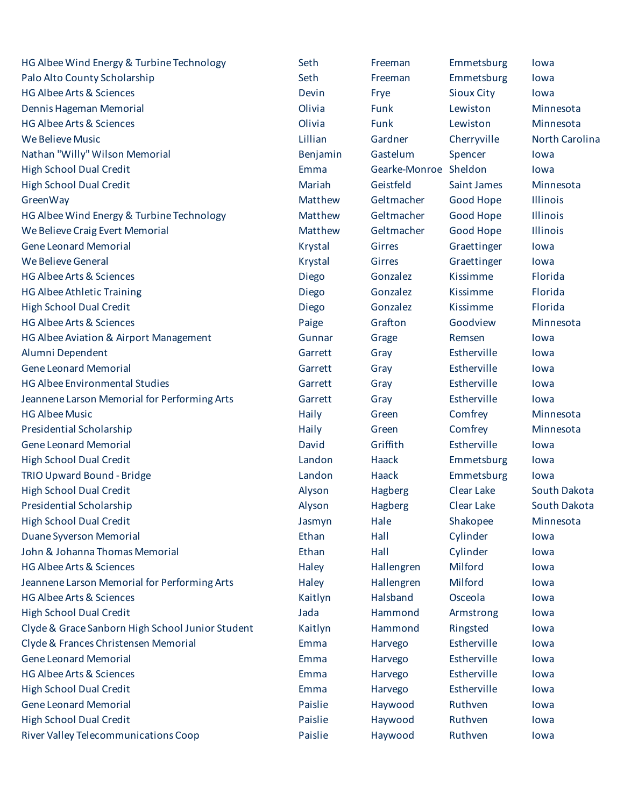HG Albee Wind Energy & Turbine Technology Seth Freeman Emmetsburg Iowa Palo Alto County Scholarship **Seth** Seth Freeman Emmetsburg Iowa HG Albee Arts & Sciences Devin Frye Sioux City Iowa Dennis Hageman Memorial Olivia Funk Lewiston Minnesota HG Albee Arts & Sciences Olivia Funk Lewiston Minnesota We Believe Music Lillian Gardner Cherryville North Carolina Nathan "Willy" Wilson Memorial **Benjamin** Gastelum Spencer Iowa High School Dual Credit Emma Gearke-Monroe Sheldon Iowa High School Dual Credit Mariah Geistfeld Saint James Minnesota GreenWay **Matthew Geltmacher Good Hope** Illinois HG Albee Wind Energy & Turbine Technology **Matthew** Geltmacher Good Hope Illinois We Believe Craig Evert Memorial **Matthew** Geltmacher Good Hope Illinois Gene Leonard Memorial **Graetinger** Iowa **Constructs** Constructs Construct Constructs Constructs Constructs Constructs We Believe General **Contract Contract Contract Contract Contract Contract Contract Contract Contract Contract Contract Contract Contract Contract Contract Contract Contract Contract Contract Contract Contract Contract Cont** HG Albee Arts & Sciences Diego Gonzalez Kissimme Florida HG Albee Athletic Training Diego Gonzalez Kissimme Florida High School Dual Credit Diego Gonzalez Kissimme Florida HG Albee Arts & Sciences Paige Grafton Goodview Minnesota HG Albee Aviation & Airport Management Gunnar Grage Remsen Iowa Alumni Dependent Garrett Gray Estherville Iowa Gene Leonard Memorial **Garrett** Gray Estherville Iowa HG Albee Environmental Studies The Studies Carrett Gray Estherville Iowa Jeannene Larson Memorial for Performing Arts Garrett Gray Gray Estherville Iowa HG Albee Music **Music** Albee Music Comfrey Minnesota Presidential Scholarship **Example 20** The Haily Green Comfrey Minnesota Gene Leonard Memorial **Contract Contract Contract Contract Contract Contract Contract Contract Contract Contract** High School Dual Credit Landon Haack Emmetsburg Iowa TRIO Upward Bound - Bridge TRIO Upward Bound - Bridge Landon Landon Haack Emmetsburg Iowa High School Dual Credit Alyson Hagberg Clear Lake South Dakota Presidential Scholarship **Alyson** Alyson Hagberg Clear Lake South Dakota High School Dual Credit Jasmyn Hale Shakopee Minnesota Duane Syverson Memorial Ethan Hall Cylinder Iowa John & Johanna Thomas Memorial Ethan Hall Cylinder Iowa HG Albee Arts & Sciences Haley Hallengren Milford Iowa Jeannene Larson Memorial for Performing Arts **Haley** Hallengren Milford Iowa HG Albee Arts & Sciences Kaitlyn Halsband Osceola Iowa High School Dual Credit Jada Hammond Armstrong Iowa Clyde & Grace Sanborn High School Junior Student Kaitlyn Hammond Ringsted Iowa Clyde & Frances Christensen Memorial Emma Harvego Estherville Iowa Gene Leonard Memorial **Emma** Harvego Estherville Iowa HG Albee Arts & Sciences Emma Harvego Estherville Iowa High School Dual Credit **Emma** Harvego Estherville Iowa Gene Leonard Memorial **Contract Contract Contract Contract Contract Contract Paislie** Haywood Ruthven Iowa High School Dual Credit Paislie Haywood Ruthven Iowa River Valley Telecommunications Coop **Paislie** Haywood Ruthven Iowa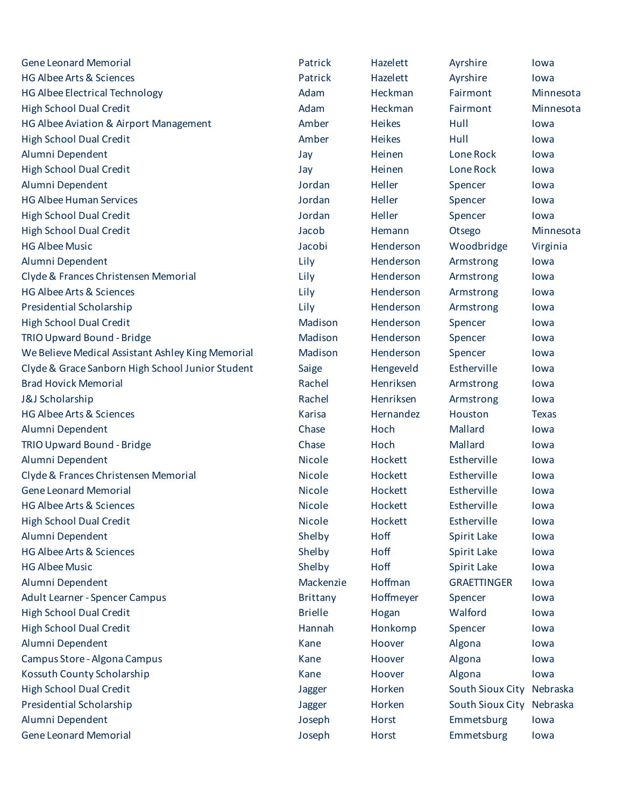| <b>Gene Leonard Memorial</b>                      | Patrick         | Hazelett      | Ayrshire                  | lowa         |
|---------------------------------------------------|-----------------|---------------|---------------------------|--------------|
| <b>HG Albee Arts &amp; Sciences</b>               | Patrick         | Hazelett      | Ayrshire                  | lowa         |
| HG Albee Electrical Technology                    | Adam            | Heckman       | Fairmont                  | Minnesota    |
| <b>High School Dual Credit</b>                    | Adam            | Heckman       | Fairmont                  | Minnesota    |
| HG Albee Aviation & Airport Management            | Amber           | <b>Heikes</b> | Hull                      | lowa         |
| <b>High School Dual Credit</b>                    | Amber           | <b>Heikes</b> | Hull                      | lowa         |
| Alumni Dependent                                  | Jay             | Heinen        | Lone Rock                 | lowa         |
| <b>High School Dual Credit</b>                    | Jay             | Heinen        | Lone Rock                 | lowa         |
| Alumni Dependent                                  | Jordan          | Heller        | Spencer                   | lowa         |
| <b>HG Albee Human Services</b>                    | Jordan          | Heller        | Spencer                   | lowa         |
| <b>High School Dual Credit</b>                    | Jordan          | Heller        | Spencer                   | lowa         |
| <b>High School Dual Credit</b>                    | Jacob           | Hemann        | Otsego                    | Minnesota    |
| <b>HG Albee Music</b>                             | Jacobi          | Henderson     | Woodbridge                | Virginia     |
| Alumni Dependent                                  | Lily            | Henderson     | Armstrong                 | lowa         |
| Clyde & Frances Christensen Memorial              | Lily            | Henderson     | Armstrong                 | lowa         |
| HG Albee Arts & Sciences                          | Lily            | Henderson     | Armstrong                 | lowa         |
| Presidential Scholarship                          | Lily            | Henderson     | Armstrong                 | lowa         |
| <b>High School Dual Credit</b>                    | Madison         | Henderson     | Spencer                   | lowa         |
| TRIO Upward Bound - Bridge                        | Madison         | Henderson     | Spencer                   | lowa         |
| We Believe Medical Assistant Ashley King Memorial | Madison         | Henderson     | Spencer                   | lowa         |
| Clyde & Grace Sanborn High School Junior Student  | Saige           | Hengeveld     | Estherville               | lowa         |
| <b>Brad Hovick Memorial</b>                       | Rachel          | Henriksen     | Armstrong                 | lowa         |
| J&J Scholarship                                   | Rachel          | Henriksen     | Armstrong                 | lowa         |
| HG Albee Arts & Sciences                          | <b>Karisa</b>   | Hernandez     | Houston                   | <b>Texas</b> |
| Alumni Dependent                                  | Chase           | Hoch          | Mallard                   | lowa         |
| TRIO Upward Bound - Bridge                        | Chase           | Hoch          | Mallard                   | lowa         |
| Alumni Dependent                                  | <b>Nicole</b>   | Hockett       | Estherville               | lowa         |
| Clyde & Frances Christensen Memorial              | <b>Nicole</b>   | Hockett       | Estherville               | lowa         |
| <b>Gene Leonard Memorial</b>                      | <b>Nicole</b>   | Hockett       | Estherville               | lowa         |
| HG Albee Arts & Sciences                          | <b>Nicole</b>   | Hockett       | Estherville               | lowa         |
| <b>High School Dual Credit</b>                    | <b>Nicole</b>   | Hockett       | Estherville               | lowa         |
| Alumni Dependent                                  | Shelby          | Hoff          | <b>Spirit Lake</b>        | lowa         |
| <b>HG Albee Arts &amp; Sciences</b>               | Shelby          | Hoff          | Spirit Lake               | lowa         |
| <b>HG Albee Music</b>                             | Shelby          | Hoff          | Spirit Lake               | lowa         |
| Alumni Dependent                                  | Mackenzie       | Hoffman       | <b>GRAETTINGER</b>        | lowa         |
| Adult Learner - Spencer Campus                    | <b>Brittany</b> | Hoffmeyer     | Spencer                   | lowa         |
| <b>High School Dual Credit</b>                    | <b>Brielle</b>  | Hogan         | Walford                   | lowa         |
| <b>High School Dual Credit</b>                    | Hannah          | Honkomp       | Spencer                   | lowa         |
| Alumni Dependent                                  | Kane            | Hoover        | Algona                    | lowa         |
| Campus Store - Algona Campus                      | Kane            | Hoover        | Algona                    | lowa         |
| Kossuth County Scholarship                        | Kane            | Hoover        | Algona                    | lowa         |
| <b>High School Dual Credit</b>                    | Jagger          | Horken        | South Sioux City Nebraska |              |
| Presidential Scholarship                          | Jagger          | Horken        | South Sioux City          | Nebraska     |
| Alumni Dependent                                  | Joseph          | <b>Horst</b>  | Emmetsburg                | lowa         |
| <b>Gene Leonard Memorial</b>                      | Joseph          | <b>Horst</b>  | Emmetsburg                | lowa         |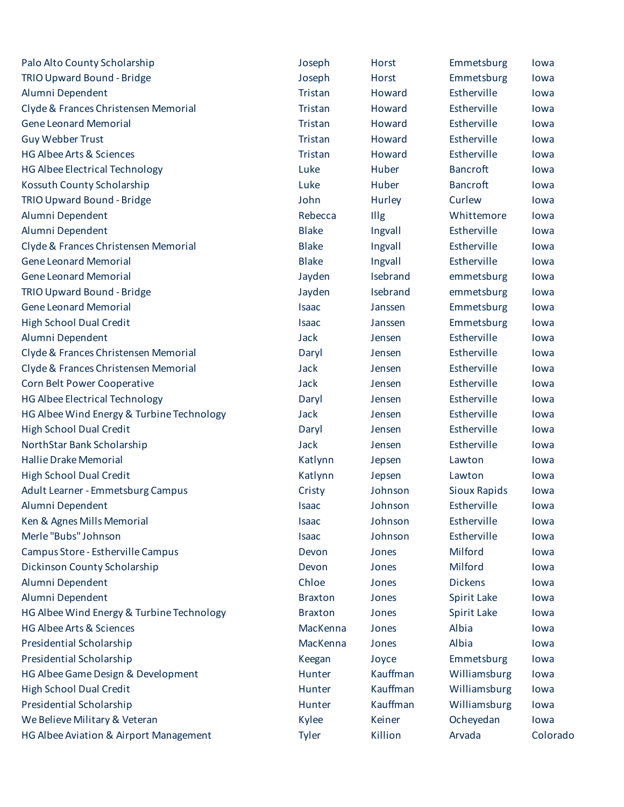| Palo Alto County Scholarship              | Joseph         | <b>Horst</b> | Emmetsburg          | lowa     |
|-------------------------------------------|----------------|--------------|---------------------|----------|
| TRIO Upward Bound - Bridge                | Joseph         | <b>Horst</b> | Emmetsburg          | lowa     |
| Alumni Dependent                          | Tristan        | Howard       | Estherville         | lowa     |
| Clyde & Frances Christensen Memorial      | Tristan        | Howard       | Estherville         | lowa     |
| <b>Gene Leonard Memorial</b>              | Tristan        | Howard       | Estherville         | lowa     |
| <b>Guy Webber Trust</b>                   | Tristan        | Howard       | Estherville         | lowa     |
| HG Albee Arts & Sciences                  | Tristan        | Howard       | Estherville         | lowa     |
| HG Albee Electrical Technology            | Luke           | Huber        | <b>Bancroft</b>     | lowa     |
| Kossuth County Scholarship                | Luke           | Huber        | <b>Bancroft</b>     | lowa     |
| TRIO Upward Bound - Bridge                | John           | Hurley       | Curlew              | lowa     |
| Alumni Dependent                          | Rebecca        | Illg         | Whittemore          | lowa     |
| Alumni Dependent                          | <b>Blake</b>   | Ingvall      | Estherville         | lowa     |
| Clyde & Frances Christensen Memorial      | <b>Blake</b>   | Ingvall      | Estherville         | lowa     |
| <b>Gene Leonard Memorial</b>              | <b>Blake</b>   | Ingvall      | Estherville         | lowa     |
| <b>Gene Leonard Memorial</b>              | Jayden         | Isebrand     | emmetsburg          | lowa     |
| TRIO Upward Bound - Bridge                | Jayden         | Isebrand     | emmetsburg          | lowa     |
| <b>Gene Leonard Memorial</b>              | <b>Isaac</b>   | Janssen      | Emmetsburg          | lowa     |
| <b>High School Dual Credit</b>            | <b>Isaac</b>   | Janssen      | Emmetsburg          | lowa     |
| Alumni Dependent                          | Jack           | Jensen       | Estherville         | lowa     |
| Clyde & Frances Christensen Memorial      | Daryl          | Jensen       | Estherville         | lowa     |
| Clyde & Frances Christensen Memorial      | Jack           | Jensen       | Estherville         | lowa     |
| Corn Belt Power Cooperative               | Jack           | Jensen       | Estherville         | lowa     |
| HG Albee Electrical Technology            | Daryl          | Jensen       | Estherville         | lowa     |
| HG Albee Wind Energy & Turbine Technology | Jack           | Jensen       | Estherville         | lowa     |
| <b>High School Dual Credit</b>            | Daryl          | Jensen       | Estherville         | lowa     |
| NorthStar Bank Scholarship                | Jack           | Jensen       | Estherville         | lowa     |
| <b>Hallie Drake Memorial</b>              | Katlynn        | Jepsen       | Lawton              | lowa     |
| <b>High School Dual Credit</b>            | Katlynn        | Jepsen       | Lawton              | lowa     |
| Adult Learner - Emmetsburg Campus         | Cristy         | Johnson      | <b>Sioux Rapids</b> | lowa     |
| Alumni Dependent                          | <b>Isaac</b>   | Johnson      | Estherville         | lowa     |
| Ken & Agnes Mills Memorial                | <b>Isaac</b>   | Johnson      | Estherville         | lowa     |
| Merle "Bubs" Johnson                      | <b>Isaac</b>   | Johnson      | Estherville         | lowa     |
| Campus Store - Estherville Campus         | Devon          | Jones        | Milford             | lowa     |
| Dickinson County Scholarship              | Devon          | Jones        | Milford             | lowa     |
| Alumni Dependent                          | Chloe          | Jones        | <b>Dickens</b>      | lowa     |
| Alumni Dependent                          | <b>Braxton</b> | Jones        | Spirit Lake         | lowa     |
| HG Albee Wind Energy & Turbine Technology | <b>Braxton</b> | Jones        | Spirit Lake         | lowa     |
| <b>HG Albee Arts &amp; Sciences</b>       | MacKenna       | Jones        | Albia               | lowa     |
| Presidential Scholarship                  | MacKenna       | Jones        | Albia               | lowa     |
| Presidential Scholarship                  | Keegan         | Joyce        | Emmetsburg          | lowa     |
| HG Albee Game Design & Development        | Hunter         | Kauffman     | Williamsburg        | lowa     |
| <b>High School Dual Credit</b>            | Hunter         | Kauffman     | Williamsburg        | lowa     |
| Presidential Scholarship                  | Hunter         | Kauffman     | Williamsburg        | lowa     |
| We Believe Military & Veteran             | Kylee          | Keiner       | Ocheyedan           | lowa     |
| HG Albee Aviation & Airport Management    | <b>Tyler</b>   | Killion      | Arvada              | Colorado |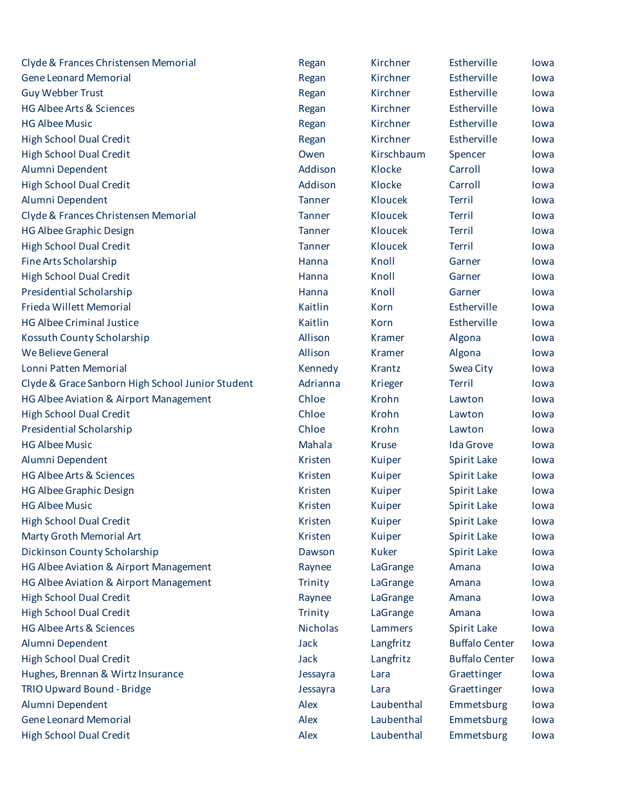| Clyde & Frances Christensen Memorial             | Regan           | Kirchner      | Estherville           | lowa |
|--------------------------------------------------|-----------------|---------------|-----------------------|------|
| <b>Gene Leonard Memorial</b>                     | Regan           | Kirchner      | Estherville           | lowa |
| <b>Guy Webber Trust</b>                          | Regan           | Kirchner      | Estherville           | lowa |
| <b>HG Albee Arts &amp; Sciences</b>              | Regan           | Kirchner      | Estherville           | lowa |
| <b>HG Albee Music</b>                            | Regan           | Kirchner      | Estherville           | lowa |
| <b>High School Dual Credit</b>                   | Regan           | Kirchner      | Estherville           | lowa |
| <b>High School Dual Credit</b>                   | Owen            | Kirschbaum    | Spencer               | lowa |
| Alumni Dependent                                 | Addison         | Klocke        | Carroll               | lowa |
| <b>High School Dual Credit</b>                   | Addison         | Klocke        | Carroll               | lowa |
| Alumni Dependent                                 | <b>Tanner</b>   | Kloucek       | Terril                | lowa |
| Clyde & Frances Christensen Memorial             | <b>Tanner</b>   | Kloucek       | <b>Terril</b>         | lowa |
| <b>HG Albee Graphic Design</b>                   | <b>Tanner</b>   | Kloucek       | <b>Terril</b>         | lowa |
| <b>High School Dual Credit</b>                   | <b>Tanner</b>   | Kloucek       | <b>Terril</b>         | lowa |
| Fine Arts Scholarship                            | Hanna           | Knoll         | Garner                | lowa |
| <b>High School Dual Credit</b>                   | Hanna           | Knoll         | Garner                | lowa |
| Presidential Scholarship                         | Hanna           | Knoll         | Garner                | lowa |
| Frieda Willett Memorial                          | Kaitlin         | Korn          | Estherville           | lowa |
| <b>HG Albee Criminal Justice</b>                 | Kaitlin         | Korn          | Estherville           | lowa |
| Kossuth County Scholarship                       | Allison         | Kramer        | Algona                | lowa |
| We Believe General                               | Allison         | <b>Kramer</b> | Algona                | lowa |
| Lonni Patten Memorial                            | Kennedy         | Krantz        | Swea City             | lowa |
| Clyde & Grace Sanborn High School Junior Student | Adrianna        | Krieger       | <b>Terril</b>         | lowa |
| HG Albee Aviation & Airport Management           | Chloe           | Krohn         | Lawton                | lowa |
| <b>High School Dual Credit</b>                   | Chloe           | Krohn         | Lawton                | lowa |
| Presidential Scholarship                         | Chloe           | Krohn         | Lawton                | lowa |
| <b>HG Albee Music</b>                            | Mahala          | <b>Kruse</b>  | <b>Ida Grove</b>      | lowa |
| Alumni Dependent                                 | Kristen         | Kuiper        | Spirit Lake           | lowa |
| <b>HG Albee Arts &amp; Sciences</b>              | Kristen         | Kuiper        | Spirit Lake           | lowa |
| <b>HG Albee Graphic Design</b>                   | Kristen         | Kuiper        | Spirit Lake           | lowa |
| <b>HG Albee Music</b>                            | Kristen         | Kuiper        | Spirit Lake           | lowa |
| <b>High School Dual Credit</b>                   | Kristen         | Kuiper        | <b>Spirit Lake</b>    | lowa |
| Marty Groth Memorial Art                         | Kristen         | Kuiper        | Spirit Lake           | lowa |
| Dickinson County Scholarship                     | Dawson          | <b>Kuker</b>  | Spirit Lake           | lowa |
| HG Albee Aviation & Airport Management           | Raynee          | LaGrange      | Amana                 | lowa |
| HG Albee Aviation & Airport Management           | <b>Trinity</b>  | LaGrange      | Amana                 | lowa |
| <b>High School Dual Credit</b>                   | Raynee          | LaGrange      | Amana                 | lowa |
| <b>High School Dual Credit</b>                   | Trinity         | LaGrange      | Amana                 | lowa |
| <b>HG Albee Arts &amp; Sciences</b>              | <b>Nicholas</b> | Lammers       | Spirit Lake           | lowa |
| Alumni Dependent                                 | Jack            | Langfritz     | <b>Buffalo Center</b> | lowa |
| <b>High School Dual Credit</b>                   | Jack            | Langfritz     | <b>Buffalo Center</b> | lowa |
| Hughes, Brennan & Wirtz Insurance                | Jessayra        | Lara          | Graettinger           | lowa |
| TRIO Upward Bound - Bridge                       | Jessayra        | Lara          | Graettinger           | lowa |
| Alumni Dependent                                 | Alex            | Laubenthal    | Emmetsburg            | lowa |
| <b>Gene Leonard Memorial</b>                     | Alex            | Laubenthal    | Emmetsburg            | lowa |
| <b>High School Dual Credit</b>                   | Alex            | Laubenthal    | Emmetsburg            | lowa |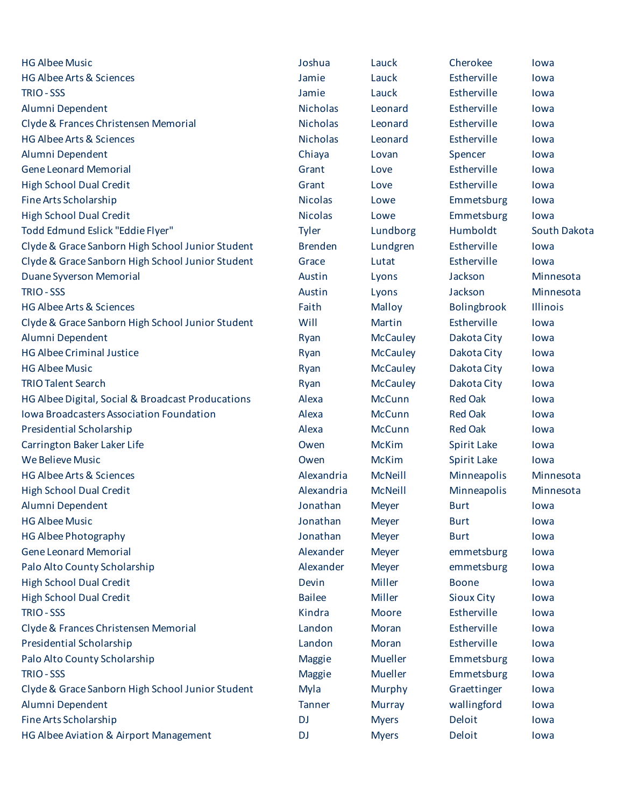| <b>HG Albee Music</b>                             | Joshua          | Lauck           | Cherokee           | lowa         |
|---------------------------------------------------|-----------------|-----------------|--------------------|--------------|
| HG Albee Arts & Sciences                          | Jamie           | Lauck           | Estherville        | lowa         |
| TRIO - SSS                                        | Jamie           | Lauck           | Estherville        | lowa         |
| Alumni Dependent                                  | <b>Nicholas</b> | Leonard         | Estherville        | lowa         |
| Clyde & Frances Christensen Memorial              | <b>Nicholas</b> | Leonard         | Estherville        | lowa         |
| HG Albee Arts & Sciences                          | <b>Nicholas</b> | Leonard         | Estherville        | lowa         |
| Alumni Dependent                                  | Chiaya          | Lovan           | Spencer            | lowa         |
| <b>Gene Leonard Memorial</b>                      | Grant           | Love            | Estherville        | lowa         |
| <b>High School Dual Credit</b>                    | Grant           | Love            | Estherville        | lowa         |
| Fine Arts Scholarship                             | <b>Nicolas</b>  | Lowe            | Emmetsburg         | lowa         |
| <b>High School Dual Credit</b>                    | <b>Nicolas</b>  | Lowe            | Emmetsburg         | lowa         |
| Todd Edmund Eslick "Eddie Flyer"                  | Tyler           | Lundborg        | Humboldt           | South Dakota |
| Clyde & Grace Sanborn High School Junior Student  | <b>Brenden</b>  | Lundgren        | Estherville        | lowa         |
| Clyde & Grace Sanborn High School Junior Student  | Grace           | Lutat           | Estherville        | lowa         |
| Duane Syverson Memorial                           | Austin          | Lyons           | Jackson            | Minnesota    |
| <b>TRIO - SSS</b>                                 | Austin          | Lyons           | Jackson            | Minnesota    |
| HG Albee Arts & Sciences                          | Faith           | Malloy          | Bolingbrook        | Illinois     |
| Clyde & Grace Sanborn High School Junior Student  | Will            | Martin          | Estherville        | lowa         |
| Alumni Dependent                                  | Ryan            | <b>McCauley</b> | Dakota City        | lowa         |
| <b>HG Albee Criminal Justice</b>                  | Ryan            | <b>McCauley</b> | Dakota City        | lowa         |
| <b>HG Albee Music</b>                             | Ryan            | <b>McCauley</b> | Dakota City        | lowa         |
| <b>TRIO Talent Search</b>                         | Ryan            | <b>McCauley</b> | Dakota City        | lowa         |
| HG Albee Digital, Social & Broadcast Producations | Alexa           | <b>McCunn</b>   | <b>Red Oak</b>     | lowa         |
| Iowa Broadcasters Association Foundation          | Alexa           | <b>McCunn</b>   | <b>Red Oak</b>     | lowa         |
| Presidential Scholarship                          | Alexa           | <b>McCunn</b>   | <b>Red Oak</b>     | lowa         |
| Carrington Baker Laker Life                       | Owen            | <b>McKim</b>    | <b>Spirit Lake</b> | lowa         |
| <b>We Believe Music</b>                           | Owen            | <b>McKim</b>    | <b>Spirit Lake</b> | lowa         |
| HG Albee Arts & Sciences                          | Alexandria      | McNeill         | Minneapolis        | Minnesota    |
| <b>High School Dual Credit</b>                    | Alexandria      | McNeill         | Minneapolis        | Minnesota    |
| Alumni Dependent                                  | Jonathan        | <b>Meyer</b>    | <b>Burt</b>        | lowa         |
| <b>HG Albee Music</b>                             | Jonathan        | <b>Meyer</b>    | <b>Burt</b>        | lowa         |
| <b>HG Albee Photography</b>                       | Jonathan        | <b>Meyer</b>    | <b>Burt</b>        | lowa         |
| <b>Gene Leonard Memorial</b>                      | Alexander       | <b>Meyer</b>    | emmetsburg         | lowa         |
| Palo Alto County Scholarship                      | Alexander       | <b>Meyer</b>    | emmetsburg         | lowa         |
| <b>High School Dual Credit</b>                    | Devin           | Miller          | <b>Boone</b>       | lowa         |
| <b>High School Dual Credit</b>                    | <b>Bailee</b>   | Miller          | <b>Sioux City</b>  | lowa         |
| TRIO - SSS                                        | Kindra          | Moore           | Estherville        | lowa         |
| Clyde & Frances Christensen Memorial              | Landon          | Moran           | Estherville        | lowa         |
| Presidential Scholarship                          | Landon          | Moran           | Estherville        | lowa         |
| Palo Alto County Scholarship                      | <b>Maggie</b>   | Mueller         | Emmetsburg         | lowa         |
| TRIO - SSS                                        | <b>Maggie</b>   | Mueller         | Emmetsburg         | lowa         |
| Clyde & Grace Sanborn High School Junior Student  | Myla            | Murphy          | Graettinger        | lowa         |
| Alumni Dependent                                  | Tanner          | <b>Murray</b>   | wallingford        | lowa         |
| Fine Arts Scholarship                             | <b>DJ</b>       | <b>Myers</b>    | Deloit             | lowa         |
| HG Albee Aviation & Airport Management            | <b>DJ</b>       | <b>Myers</b>    | Deloit             | lowa         |
|                                                   |                 |                 |                    |              |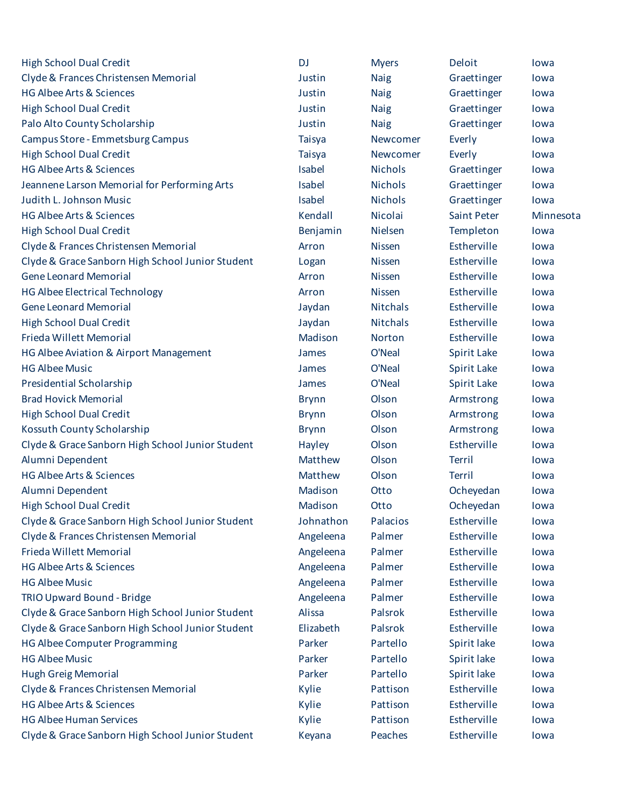| <b>High School Dual Credit</b>                   | <b>DJ</b>     | <b>Myers</b>    | Deloit             | lowa      |
|--------------------------------------------------|---------------|-----------------|--------------------|-----------|
| Clyde & Frances Christensen Memorial             | Justin        | <b>Naig</b>     | Graettinger        | lowa      |
| <b>HG Albee Arts &amp; Sciences</b>              | Justin        | <b>Naig</b>     | Graettinger        | lowa      |
| <b>High School Dual Credit</b>                   | Justin        | <b>Naig</b>     | Graettinger        | lowa      |
| Palo Alto County Scholarship                     | Justin        | <b>Naig</b>     | Graettinger        | lowa      |
| Campus Store - Emmetsburg Campus                 | <b>Taisya</b> | Newcomer        | Everly             | lowa      |
| <b>High School Dual Credit</b>                   | <b>Taisya</b> | Newcomer        | Everly             | lowa      |
| <b>HG Albee Arts &amp; Sciences</b>              | Isabel        | <b>Nichols</b>  | Graettinger        | lowa      |
| Jeannene Larson Memorial for Performing Arts     | Isabel        | <b>Nichols</b>  | Graettinger        | lowa      |
| Judith L. Johnson Music                          | Isabel        | <b>Nichols</b>  | Graettinger        | lowa      |
| <b>HG Albee Arts &amp; Sciences</b>              | Kendall       | Nicolai         | <b>Saint Peter</b> | Minnesota |
| <b>High School Dual Credit</b>                   | Benjamin      | Nielsen         | Templeton          | lowa      |
| Clyde & Frances Christensen Memorial             | Arron         | <b>Nissen</b>   | Estherville        | lowa      |
| Clyde & Grace Sanborn High School Junior Student | Logan         | <b>Nissen</b>   | Estherville        | lowa      |
| <b>Gene Leonard Memorial</b>                     | Arron         | <b>Nissen</b>   | Estherville        | lowa      |
| <b>HG Albee Electrical Technology</b>            | Arron         | <b>Nissen</b>   | Estherville        | lowa      |
| <b>Gene Leonard Memorial</b>                     | Jaydan        | <b>Nitchals</b> | Estherville        | lowa      |
| <b>High School Dual Credit</b>                   | Jaydan        | <b>Nitchals</b> | Estherville        | lowa      |
| Frieda Willett Memorial                          | Madison       | <b>Norton</b>   | Estherville        | lowa      |
| HG Albee Aviation & Airport Management           | James         | O'Neal          | Spirit Lake        | lowa      |
| <b>HG Albee Music</b>                            | James         | O'Neal          | Spirit Lake        | lowa      |
| <b>Presidential Scholarship</b>                  | James         | O'Neal          | Spirit Lake        | lowa      |
| <b>Brad Hovick Memorial</b>                      | <b>Brynn</b>  | Olson           | Armstrong          | lowa      |
| <b>High School Dual Credit</b>                   | <b>Brynn</b>  | Olson           | Armstrong          | lowa      |
| Kossuth County Scholarship                       | <b>Brynn</b>  | Olson           | Armstrong          | lowa      |
| Clyde & Grace Sanborn High School Junior Student | Hayley        | Olson           | Estherville        | lowa      |
| Alumni Dependent                                 | Matthew       | Olson           | <b>Terril</b>      | lowa      |
| <b>HG Albee Arts &amp; Sciences</b>              | Matthew       | Olson           | Terril             | lowa      |
| Alumni Dependent                                 | Madison       | Otto            | Ocheyedan          | lowa      |
| <b>High School Dual Credit</b>                   | Madison       | Otto            | Ocheyedan          | lowa      |
| Clyde & Grace Sanborn High School Junior Student | Johnathon     | Palacios        | Estherville        | lowa      |
| Clyde & Frances Christensen Memorial             | Angeleena     | Palmer          | Estherville        | lowa      |
| Frieda Willett Memorial                          | Angeleena     | Palmer          | Estherville        | lowa      |
| <b>HG Albee Arts &amp; Sciences</b>              | Angeleena     | Palmer          | Estherville        | lowa      |
| <b>HG Albee Music</b>                            | Angeleena     | Palmer          | Estherville        | lowa      |
| TRIO Upward Bound - Bridge                       | Angeleena     | Palmer          | Estherville        | lowa      |
| Clyde & Grace Sanborn High School Junior Student | Alissa        | Palsrok         | Estherville        | lowa      |
| Clyde & Grace Sanborn High School Junior Student | Elizabeth     | Palsrok         | Estherville        | lowa      |
| <b>HG Albee Computer Programming</b>             | Parker        | Partello        | Spirit lake        | lowa      |
| <b>HG Albee Music</b>                            | Parker        | Partello        | Spirit lake        | lowa      |
| <b>Hugh Greig Memorial</b>                       | Parker        | Partello        | Spirit lake        | lowa      |
| Clyde & Frances Christensen Memorial             | Kylie         | Pattison        | Estherville        | lowa      |
| <b>HG Albee Arts &amp; Sciences</b>              | Kylie         | Pattison        | Estherville        | lowa      |
| <b>HG Albee Human Services</b>                   | Kylie         | Pattison        | Estherville        | lowa      |
| Clyde & Grace Sanborn High School Junior Student | Keyana        | Peaches         | Estherville        | lowa      |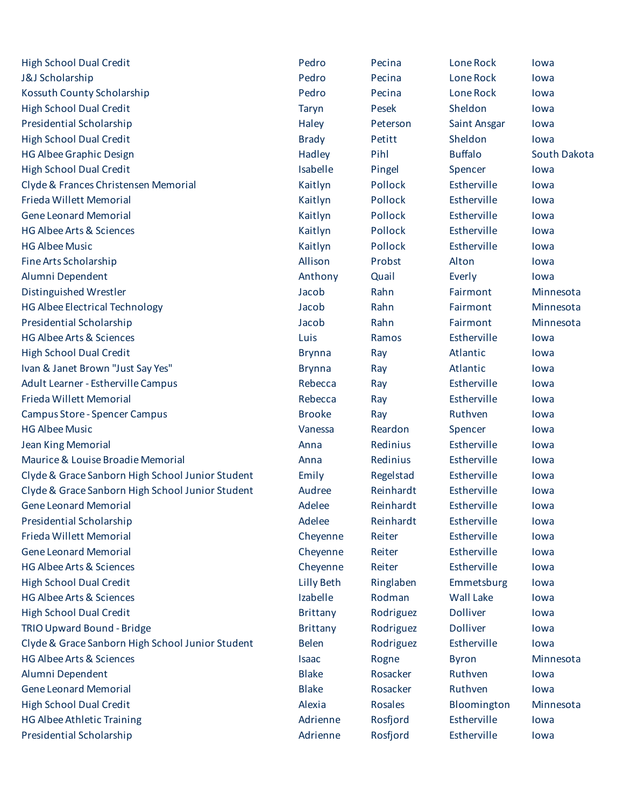| <b>High School Dual Credit</b>                   | Pedro             | Pecina         | Lone Rock        | lowa         |
|--------------------------------------------------|-------------------|----------------|------------------|--------------|
| J&J Scholarship                                  | Pedro             | Pecina         | Lone Rock        | lowa         |
| Kossuth County Scholarship                       | Pedro             | Pecina         | Lone Rock        | lowa         |
| <b>High School Dual Credit</b>                   | <b>Taryn</b>      | Pesek          | Sheldon          | lowa         |
| Presidential Scholarship                         | Haley             | Peterson       | Saint Ansgar     | lowa         |
| <b>High School Dual Credit</b>                   | <b>Brady</b>      | Petitt         | Sheldon          | lowa         |
| <b>HG Albee Graphic Design</b>                   | Hadley            | Pihl           | <b>Buffalo</b>   | South Dakota |
| <b>High School Dual Credit</b>                   | Isabelle          | Pingel         | Spencer          | lowa         |
| Clyde & Frances Christensen Memorial             | Kaitlyn           | Pollock        | Estherville      | lowa         |
| Frieda Willett Memorial                          | Kaitlyn           | Pollock        | Estherville      | lowa         |
| <b>Gene Leonard Memorial</b>                     | Kaitlyn           | Pollock        | Estherville      | lowa         |
| <b>HG Albee Arts &amp; Sciences</b>              | Kaitlyn           | Pollock        | Estherville      | lowa         |
| <b>HG Albee Music</b>                            | Kaitlyn           | Pollock        | Estherville      | lowa         |
| Fine Arts Scholarship                            | Allison           | Probst         | Alton            | lowa         |
| Alumni Dependent                                 | Anthony           | Quail          | Everly           | lowa         |
| Distinguished Wrestler                           | Jacob             | Rahn           | Fairmont         | Minnesota    |
| <b>HG Albee Electrical Technology</b>            | Jacob             | Rahn           | Fairmont         | Minnesota    |
| <b>Presidential Scholarship</b>                  | Jacob             | Rahn           | Fairmont         | Minnesota    |
| <b>HG Albee Arts &amp; Sciences</b>              | Luis              | Ramos          | Estherville      | lowa         |
| <b>High School Dual Credit</b>                   | <b>Brynna</b>     | Ray            | Atlantic         | lowa         |
| Ivan & Janet Brown "Just Say Yes"                | <b>Brynna</b>     | Ray            | Atlantic         | lowa         |
| Adult Learner - Estherville Campus               | Rebecca           | Ray            | Estherville      | lowa         |
| Frieda Willett Memorial                          | Rebecca           | Ray            | Estherville      | lowa         |
| <b>Campus Store - Spencer Campus</b>             | <b>Brooke</b>     | Ray            | Ruthven          | lowa         |
| <b>HG Albee Music</b>                            | Vanessa           | Reardon        | Spencer          | lowa         |
| <b>Jean King Memorial</b>                        | Anna              | Redinius       | Estherville      | lowa         |
| Maurice & Louise Broadie Memorial                | Anna              | Redinius       | Estherville      | lowa         |
| Clyde & Grace Sanborn High School Junior Student | Emily             | Regelstad      | Estherville      | lowa         |
| Clyde & Grace Sanborn High School Junior Student | Audree            | Reinhardt      | Estherville      | lowa         |
| <b>Gene Leonard Memorial</b>                     | Adelee            | Reinhardt      | Estherville      | lowa         |
| Presidential Scholarship                         | Adelee            | Reinhardt      | Estherville      | lowa         |
| Frieda Willett Memorial                          | Cheyenne          | Reiter         | Estherville      | lowa         |
| <b>Gene Leonard Memorial</b>                     | Cheyenne          | Reiter         | Estherville      | lowa         |
| <b>HG Albee Arts &amp; Sciences</b>              | Cheyenne          | Reiter         | Estherville      | lowa         |
| <b>High School Dual Credit</b>                   | <b>Lilly Beth</b> | Ringlaben      | Emmetsburg       | lowa         |
| <b>HG Albee Arts &amp; Sciences</b>              | Izabelle          | Rodman         | <b>Wall Lake</b> | lowa         |
| <b>High School Dual Credit</b>                   | <b>Brittany</b>   | Rodriguez      | <b>Dolliver</b>  | lowa         |
| TRIO Upward Bound - Bridge                       | <b>Brittany</b>   | Rodriguez      | <b>Dolliver</b>  | lowa         |
| Clyde & Grace Sanborn High School Junior Student | <b>Belen</b>      | Rodriguez      | Estherville      | lowa         |
| <b>HG Albee Arts &amp; Sciences</b>              | <b>Isaac</b>      | Rogne          | <b>Byron</b>     | Minnesota    |
| Alumni Dependent                                 | <b>Blake</b>      | Rosacker       | Ruthven          | lowa         |
| <b>Gene Leonard Memorial</b>                     | <b>Blake</b>      | Rosacker       | Ruthven          | lowa         |
| <b>High School Dual Credit</b>                   | Alexia            | <b>Rosales</b> | Bloomington      | Minnesota    |
| <b>HG Albee Athletic Training</b>                | Adrienne          | Rosfjord       | Estherville      | lowa         |
| Presidential Scholarship                         | Adrienne          | Rosfjord       | Estherville      | lowa         |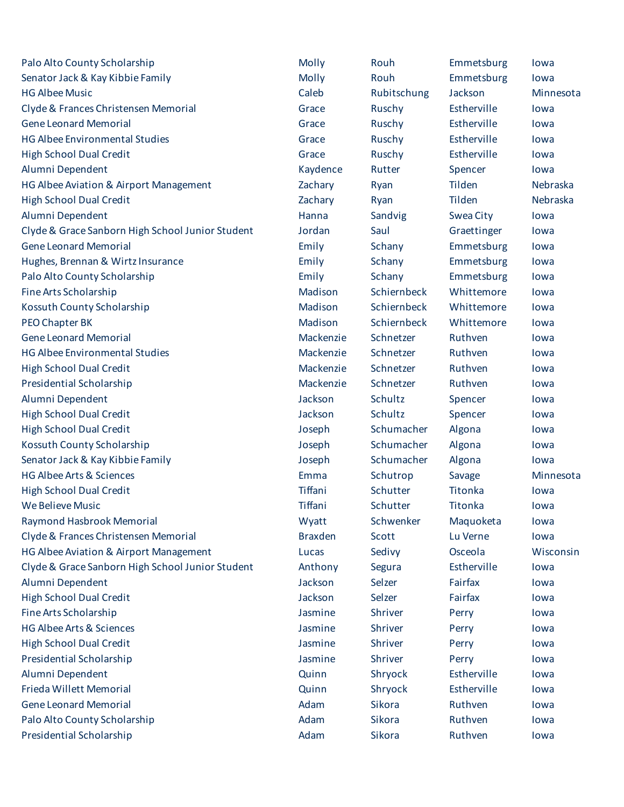| Palo Alto County Scholarship                     | Molly          | Rouh        | Emmetsburg  | lowa      |
|--------------------------------------------------|----------------|-------------|-------------|-----------|
| Senator Jack & Kay Kibbie Family                 | Molly          | Rouh        | Emmetsburg  | lowa      |
| <b>HG Albee Music</b>                            | Caleb          | Rubitschung | Jackson     | Minnesota |
| Clyde & Frances Christensen Memorial             | Grace          | Ruschy      | Estherville | lowa      |
| <b>Gene Leonard Memorial</b>                     | Grace          | Ruschy      | Estherville | lowa      |
| <b>HG Albee Environmental Studies</b>            | Grace          | Ruschy      | Estherville | lowa      |
| <b>High School Dual Credit</b>                   | Grace          | Ruschy      | Estherville | lowa      |
| Alumni Dependent                                 | Kaydence       | Rutter      | Spencer     | lowa      |
| HG Albee Aviation & Airport Management           | Zachary        | Ryan        | Tilden      | Nebraska  |
| <b>High School Dual Credit</b>                   | Zachary        | Ryan        | Tilden      | Nebraska  |
| Alumni Dependent                                 | Hanna          | Sandvig     | Swea City   | lowa      |
| Clyde & Grace Sanborn High School Junior Student | Jordan         | Saul        | Graettinger | lowa      |
| <b>Gene Leonard Memorial</b>                     | Emily          | Schany      | Emmetsburg  | lowa      |
| Hughes, Brennan & Wirtz Insurance                | Emily          | Schany      | Emmetsburg  | lowa      |
| Palo Alto County Scholarship                     | Emily          | Schany      | Emmetsburg  | lowa      |
| Fine Arts Scholarship                            | Madison        | Schiernbeck | Whittemore  | lowa      |
| Kossuth County Scholarship                       | Madison        | Schiernbeck | Whittemore  | lowa      |
| PEO Chapter BK                                   | Madison        | Schiernbeck | Whittemore  | lowa      |
| <b>Gene Leonard Memorial</b>                     | Mackenzie      | Schnetzer   | Ruthven     | lowa      |
| <b>HG Albee Environmental Studies</b>            | Mackenzie      | Schnetzer   | Ruthven     | lowa      |
| <b>High School Dual Credit</b>                   | Mackenzie      | Schnetzer   | Ruthven     | lowa      |
| <b>Presidential Scholarship</b>                  | Mackenzie      | Schnetzer   | Ruthven     | lowa      |
| Alumni Dependent                                 | Jackson        | Schultz     | Spencer     | lowa      |
| <b>High School Dual Credit</b>                   | Jackson        | Schultz     | Spencer     | lowa      |
| <b>High School Dual Credit</b>                   | Joseph         | Schumacher  | Algona      | lowa      |
| Kossuth County Scholarship                       | Joseph         | Schumacher  | Algona      | lowa      |
| Senator Jack & Kay Kibbie Family                 | Joseph         | Schumacher  | Algona      | lowa      |
| <b>HG Albee Arts &amp; Sciences</b>              | Emma           | Schutrop    | Savage      | Minnesota |
| <b>High School Dual Credit</b>                   | Tiffani        | Schutter    | Titonka     | lowa      |
| <b>We Believe Music</b>                          | Tiffani        | Schutter    | Titonka     | lowa      |
| Raymond Hasbrook Memorial                        | Wyatt          | Schwenker   | Maquoketa   | lowa      |
| Clyde & Frances Christensen Memorial             | <b>Braxden</b> | Scott       | Lu Verne    | lowa      |
| HG Albee Aviation & Airport Management           | Lucas          | Sedivy      | Osceola     | Wisconsin |
| Clyde & Grace Sanborn High School Junior Student | Anthony        | Segura      | Estherville | lowa      |
| Alumni Dependent                                 | Jackson        | Selzer      | Fairfax     | lowa      |
| <b>High School Dual Credit</b>                   | Jackson        | Selzer      | Fairfax     | lowa      |
| Fine Arts Scholarship                            | Jasmine        | Shriver     | Perry       | lowa      |
| <b>HG Albee Arts &amp; Sciences</b>              | Jasmine        | Shriver     | Perry       | lowa      |
| <b>High School Dual Credit</b>                   | Jasmine        | Shriver     | Perry       | lowa      |
| Presidential Scholarship                         | Jasmine        | Shriver     | Perry       | lowa      |
| Alumni Dependent                                 | Quinn          | Shryock     | Estherville | lowa      |
| Frieda Willett Memorial                          | Quinn          | Shryock     | Estherville | lowa      |
| <b>Gene Leonard Memorial</b>                     | Adam           | Sikora      | Ruthven     | lowa      |
| Palo Alto County Scholarship                     | Adam           | Sikora      | Ruthven     | lowa      |
| Presidential Scholarship                         | Adam           | Sikora      | Ruthven     | lowa      |
|                                                  |                |             |             |           |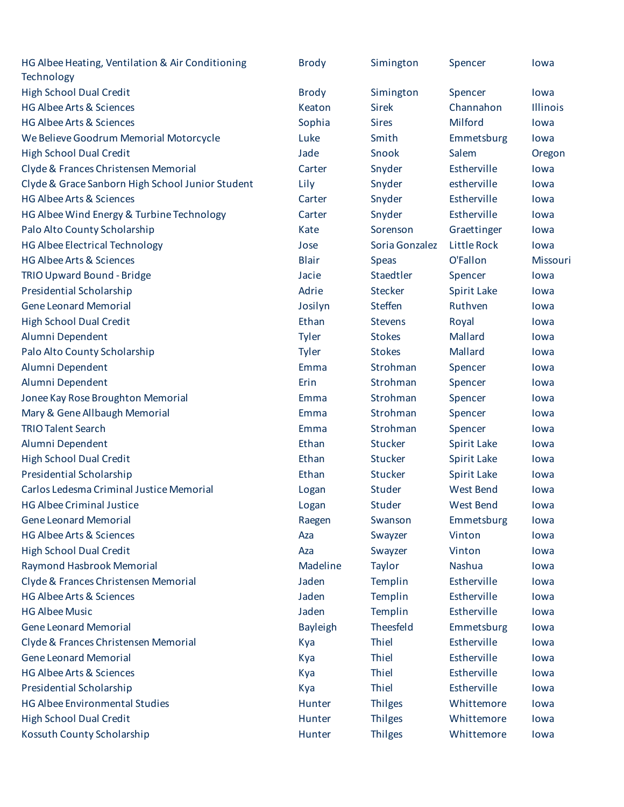| HG Albee Heating, Ventilation & Air Conditioning<br>Technology | <b>Brody</b>    | Simington      | Spencer            | lowa            |
|----------------------------------------------------------------|-----------------|----------------|--------------------|-----------------|
| <b>High School Dual Credit</b>                                 | <b>Brody</b>    | Simington      | Spencer            | lowa            |
| HG Albee Arts & Sciences                                       | Keaton          | <b>Sirek</b>   | Channahon          | <b>Illinois</b> |
| <b>HG Albee Arts &amp; Sciences</b>                            | Sophia          | <b>Sires</b>   | Milford            | lowa            |
| We Believe Goodrum Memorial Motorcycle                         | Luke            | Smith          | Emmetsburg         | lowa            |
| <b>High School Dual Credit</b>                                 | Jade            | Snook          | Salem              | Oregon          |
| Clyde & Frances Christensen Memorial                           | Carter          | Snyder         | Estherville        | lowa            |
| Clyde & Grace Sanborn High School Junior Student               | Lily            | Snyder         | estherville        | lowa            |
| HG Albee Arts & Sciences                                       | Carter          | Snyder         | Estherville        | lowa            |
| HG Albee Wind Energy & Turbine Technology                      | Carter          | Snyder         | Estherville        | lowa            |
| Palo Alto County Scholarship                                   | Kate            | Sorenson       | Graettinger        | lowa            |
| <b>HG Albee Electrical Technology</b>                          | Jose            | Soria Gonzalez | <b>Little Rock</b> | lowa            |
| HG Albee Arts & Sciences                                       | <b>Blair</b>    | <b>Speas</b>   | O'Fallon           | Missouri        |
| TRIO Upward Bound - Bridge                                     | Jacie           | Staedtler      | Spencer            | lowa            |
| Presidential Scholarship                                       | Adrie           | <b>Stecker</b> | Spirit Lake        | lowa            |
| <b>Gene Leonard Memorial</b>                                   | Josilyn         | <b>Steffen</b> | Ruthven            | lowa            |
| <b>High School Dual Credit</b>                                 | Ethan           | <b>Stevens</b> | Royal              | lowa            |
| Alumni Dependent                                               | Tyler           | <b>Stokes</b>  | Mallard            | lowa            |
| Palo Alto County Scholarship                                   | Tyler           | <b>Stokes</b>  | Mallard            | lowa            |
| Alumni Dependent                                               | Emma            | Strohman       | Spencer            | lowa            |
| Alumni Dependent                                               | Erin            | Strohman       | Spencer            | lowa            |
| Jonee Kay Rose Broughton Memorial                              | Emma            | Strohman       | Spencer            | lowa            |
| Mary & Gene Allbaugh Memorial                                  | Emma            | Strohman       | Spencer            | lowa            |
| <b>TRIO Talent Search</b>                                      | Emma            | Strohman       | Spencer            | lowa            |
| Alumni Dependent                                               | Ethan           | <b>Stucker</b> | <b>Spirit Lake</b> | lowa            |
| <b>High School Dual Credit</b>                                 | Ethan           | <b>Stucker</b> | Spirit Lake        | lowa            |
| Presidential Scholarship                                       | Ethan           | <b>Stucker</b> | <b>Spirit Lake</b> | lowa            |
| Carlos Ledesma Criminal Justice Memorial                       | Logan           | Studer         | <b>West Bend</b>   | lowa            |
| <b>HG Albee Criminal Justice</b>                               | Logan           | Studer         | <b>West Bend</b>   | lowa            |
| <b>Gene Leonard Memorial</b>                                   | Raegen          | Swanson        | Emmetsburg         | lowa            |
| <b>HG Albee Arts &amp; Sciences</b>                            | Aza             | Swayzer        | Vinton             | lowa            |
| <b>High School Dual Credit</b>                                 | Aza             | Swayzer        | Vinton             | lowa            |
| Raymond Hasbrook Memorial                                      | Madeline        | <b>Taylor</b>  | <b>Nashua</b>      | lowa            |
| Clyde & Frances Christensen Memorial                           | Jaden           | Templin        | Estherville        | lowa            |
| <b>HG Albee Arts &amp; Sciences</b>                            | Jaden           | Templin        | Estherville        | lowa            |
| <b>HG Albee Music</b>                                          | Jaden           | Templin        | Estherville        | lowa            |
| <b>Gene Leonard Memorial</b>                                   | <b>Bayleigh</b> | Theesfeld      | Emmetsburg         | lowa            |
| Clyde & Frances Christensen Memorial                           | Kya             | Thiel          | Estherville        | lowa            |
| <b>Gene Leonard Memorial</b>                                   | Kya             | Thiel          | Estherville        | lowa            |
| <b>HG Albee Arts &amp; Sciences</b>                            | Kya             | <b>Thiel</b>   | Estherville        | lowa            |
| Presidential Scholarship                                       | Kya             | Thiel          | Estherville        | lowa            |
| <b>HG Albee Environmental Studies</b>                          | Hunter          | <b>Thilges</b> | Whittemore         | lowa            |
| <b>High School Dual Credit</b>                                 | Hunter          | <b>Thilges</b> | Whittemore         | lowa            |
| Kossuth County Scholarship                                     | Hunter          | <b>Thilges</b> | Whittemore         | lowa            |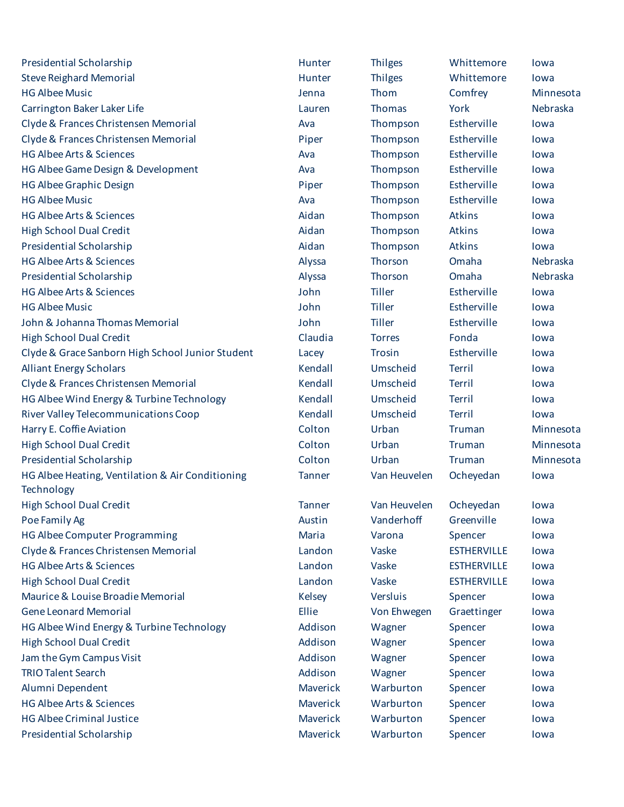| Presidential Scholarship                         | Hunter          | <b>Thilges</b> | Whittemore         | lowa      |
|--------------------------------------------------|-----------------|----------------|--------------------|-----------|
| <b>Steve Reighard Memorial</b>                   | Hunter          | <b>Thilges</b> | Whittemore         | lowa      |
| <b>HG Albee Music</b>                            | Jenna           | Thom           | Comfrey            | Minnesota |
| Carrington Baker Laker Life                      | Lauren          | Thomas         | York               | Nebraska  |
| Clyde & Frances Christensen Memorial             | Ava             | Thompson       | Estherville        | lowa      |
| Clyde & Frances Christensen Memorial             | Piper           | Thompson       | Estherville        | lowa      |
| <b>HG Albee Arts &amp; Sciences</b>              | Ava             | Thompson       | Estherville        | lowa      |
| HG Albee Game Design & Development               | Ava             | Thompson       | Estherville        | lowa      |
| <b>HG Albee Graphic Design</b>                   | Piper           | Thompson       | Estherville        | lowa      |
| <b>HG Albee Music</b>                            | Ava             | Thompson       | Estherville        | lowa      |
| <b>HG Albee Arts &amp; Sciences</b>              | Aidan           | Thompson       | Atkins             | lowa      |
| <b>High School Dual Credit</b>                   | Aidan           | Thompson       | Atkins             | lowa      |
| <b>Presidential Scholarship</b>                  | Aidan           | Thompson       | Atkins             | lowa      |
| <b>HG Albee Arts &amp; Sciences</b>              | Alyssa          | Thorson        | Omaha              | Nebraska  |
| Presidential Scholarship                         | Alyssa          | Thorson        | Omaha              | Nebraska  |
| <b>HG Albee Arts &amp; Sciences</b>              | John            | <b>Tiller</b>  | Estherville        | lowa      |
| <b>HG Albee Music</b>                            | John            | <b>Tiller</b>  | Estherville        | lowa      |
| John & Johanna Thomas Memorial                   | John            | <b>Tiller</b>  | Estherville        | lowa      |
| <b>High School Dual Credit</b>                   | Claudia         | <b>Torres</b>  | Fonda              | lowa      |
| Clyde & Grace Sanborn High School Junior Student | Lacey           | Trosin         | Estherville        | lowa      |
| <b>Alliant Energy Scholars</b>                   | Kendall         | Umscheid       | Terril             | lowa      |
| Clyde & Frances Christensen Memorial             | Kendall         | Umscheid       | <b>Terril</b>      | lowa      |
| HG Albee Wind Energy & Turbine Technology        | Kendall         | Umscheid       | <b>Terril</b>      | lowa      |
| River Valley Telecommunications Coop             | Kendall         | Umscheid       | <b>Terril</b>      | lowa      |
| Harry E. Coffie Aviation                         | Colton          | Urban          | Truman             | Minnesota |
| <b>High School Dual Credit</b>                   | Colton          | Urban          | Truman             | Minnesota |
| Presidential Scholarship                         | Colton          | Urban          | Truman             | Minnesota |
| HG Albee Heating, Ventilation & Air Conditioning | <b>Tanner</b>   | Van Heuvelen   | Ocheyedan          | lowa      |
| Technology                                       |                 |                |                    |           |
| <b>High School Dual Credit</b>                   | <b>Tanner</b>   | Van Heuvelen   | Ocheyedan          | lowa      |
| Poe Family Ag                                    | Austin          | Vanderhoff     | Greenville         | lowa      |
| <b>HG Albee Computer Programming</b>             | Maria           | Varona         | Spencer            | lowa      |
| Clyde & Frances Christensen Memorial             | Landon          | Vaske          | <b>ESTHERVILLE</b> | lowa      |
| <b>HG Albee Arts &amp; Sciences</b>              | Landon          | Vaske          | <b>ESTHERVILLE</b> | lowa      |
| <b>High School Dual Credit</b>                   | Landon          | Vaske          | <b>ESTHERVILLE</b> | lowa      |
| Maurice & Louise Broadie Memorial                | <b>Kelsey</b>   | Versluis       | Spencer            | lowa      |
| <b>Gene Leonard Memorial</b>                     | Ellie           | Von Ehwegen    | Graettinger        | lowa      |
| HG Albee Wind Energy & Turbine Technology        | Addison         | Wagner         | Spencer            | lowa      |
| <b>High School Dual Credit</b>                   | Addison         | Wagner         | Spencer            | lowa      |
| Jam the Gym Campus Visit                         | Addison         | Wagner         | Spencer            | lowa      |
| <b>TRIO Talent Search</b>                        | Addison         | Wagner         | Spencer            | lowa      |
| Alumni Dependent                                 | Maverick        | Warburton      | Spencer            | lowa      |
| <b>HG Albee Arts &amp; Sciences</b>              | <b>Maverick</b> | Warburton      | Spencer            | lowa      |
| <b>HG Albee Criminal Justice</b>                 | Maverick        | Warburton      | Spencer            | lowa      |
| Presidential Scholarship                         | Maverick        | Warburton      | Spencer            | lowa      |
|                                                  |                 |                |                    |           |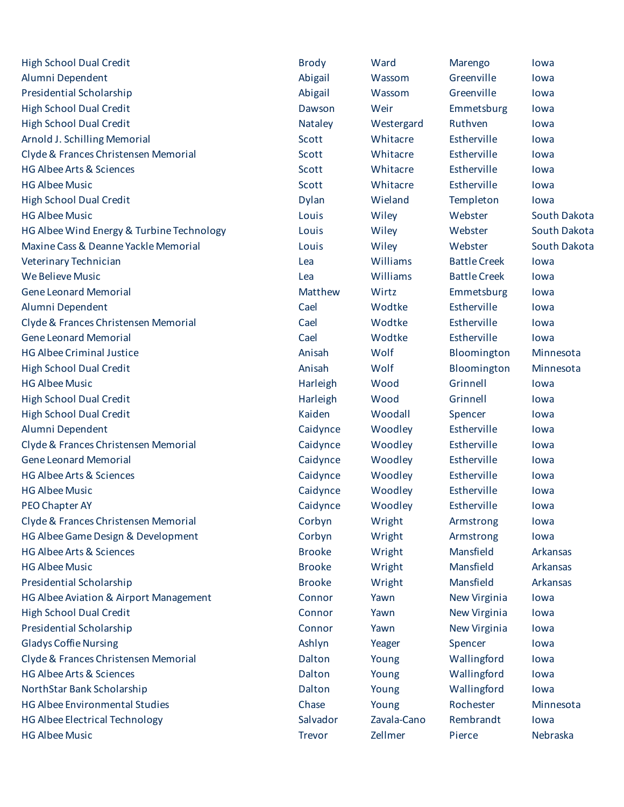| <b>High School Dual Credit</b>            | <b>Brody</b>  | Ward        | Marengo             | lowa         |
|-------------------------------------------|---------------|-------------|---------------------|--------------|
| Alumni Dependent                          | Abigail       | Wassom      | Greenville          | lowa         |
| Presidential Scholarship                  | Abigail       | Wassom      | Greenville          | lowa         |
| <b>High School Dual Credit</b>            | Dawson        | Weir        | Emmetsburg          | lowa         |
| <b>High School Dual Credit</b>            | Nataley       | Westergard  | Ruthven             | lowa         |
| Arnold J. Schilling Memorial              | Scott         | Whitacre    | Estherville         | lowa         |
| Clyde & Frances Christensen Memorial      | Scott         | Whitacre    | Estherville         | lowa         |
| <b>HG Albee Arts &amp; Sciences</b>       | Scott         | Whitacre    | Estherville         | lowa         |
| <b>HG Albee Music</b>                     | Scott         | Whitacre    | Estherville         | lowa         |
| <b>High School Dual Credit</b>            | Dylan         | Wieland     | Templeton           | lowa         |
| <b>HG Albee Music</b>                     | Louis         | Wiley       | Webster             | South Dakota |
| HG Albee Wind Energy & Turbine Technology | Louis         | Wiley       | Webster             | South Dakota |
| Maxine Cass & Deanne Yackle Memorial      | Louis         | Wiley       | Webster             | South Dakota |
| Veterinary Technician                     | Lea           | Williams    | <b>Battle Creek</b> | lowa         |
| <b>We Believe Music</b>                   | Lea           | Williams    | <b>Battle Creek</b> | lowa         |
| <b>Gene Leonard Memorial</b>              | Matthew       | Wirtz       | Emmetsburg          | lowa         |
| Alumni Dependent                          | Cael          | Wodtke      | Estherville         | lowa         |
| Clyde & Frances Christensen Memorial      | Cael          | Wodtke      | Estherville         | lowa         |
| <b>Gene Leonard Memorial</b>              | Cael          | Wodtke      | Estherville         | lowa         |
| <b>HG Albee Criminal Justice</b>          | Anisah        | Wolf        | Bloomington         | Minnesota    |
| <b>High School Dual Credit</b>            | Anisah        | Wolf        | Bloomington         | Minnesota    |
| <b>HG Albee Music</b>                     | Harleigh      | Wood        | Grinnell            | lowa         |
| <b>High School Dual Credit</b>            | Harleigh      | Wood        | Grinnell            | lowa         |
| <b>High School Dual Credit</b>            | Kaiden        | Woodall     | Spencer             | lowa         |
| Alumni Dependent                          | Caidynce      | Woodley     | Estherville         | lowa         |
| Clyde & Frances Christensen Memorial      | Caidynce      | Woodley     | Estherville         | lowa         |
| <b>Gene Leonard Memorial</b>              | Caidynce      | Woodley     | Estherville         | lowa         |
| <b>HG Albee Arts &amp; Sciences</b>       | Caidynce      | Woodley     | Estherville         | lowa         |
| <b>HG Albee Music</b>                     | Caidynce      | Woodley     | Estherville         | lowa         |
| PEO Chapter AY                            | Caidynce      | Woodley     | Estherville         | lowa         |
| Clyde & Frances Christensen Memorial      | Corbyn        | Wright      | Armstrong           | lowa         |
| HG Albee Game Design & Development        | Corbyn        | Wright      | Armstrong           | lowa         |
| <b>HG Albee Arts &amp; Sciences</b>       | <b>Brooke</b> | Wright      | Mansfield           | Arkansas     |
| <b>HG Albee Music</b>                     | <b>Brooke</b> | Wright      | Mansfield           | Arkansas     |
| <b>Presidential Scholarship</b>           | <b>Brooke</b> | Wright      | Mansfield           | Arkansas     |
| HG Albee Aviation & Airport Management    | Connor        | Yawn        | New Virginia        | lowa         |
| <b>High School Dual Credit</b>            | Connor        | Yawn        | New Virginia        | lowa         |
| Presidential Scholarship                  | Connor        | Yawn        | New Virginia        | lowa         |
| <b>Gladys Coffie Nursing</b>              | Ashlyn        | Yeager      | Spencer             | lowa         |
| Clyde & Frances Christensen Memorial      | Dalton        | Young       | Wallingford         | lowa         |
| <b>HG Albee Arts &amp; Sciences</b>       | Dalton        | Young       | Wallingford         | lowa         |
| NorthStar Bank Scholarship                | Dalton        | Young       | Wallingford         | lowa         |
| <b>HG Albee Environmental Studies</b>     | Chase         | Young       | Rochester           | Minnesota    |
| <b>HG Albee Electrical Technology</b>     | Salvador      | Zavala-Cano | Rembrandt           | lowa         |
| <b>HG Albee Music</b>                     | <b>Trevor</b> | Zellmer     | Pierce              | Nebraska     |